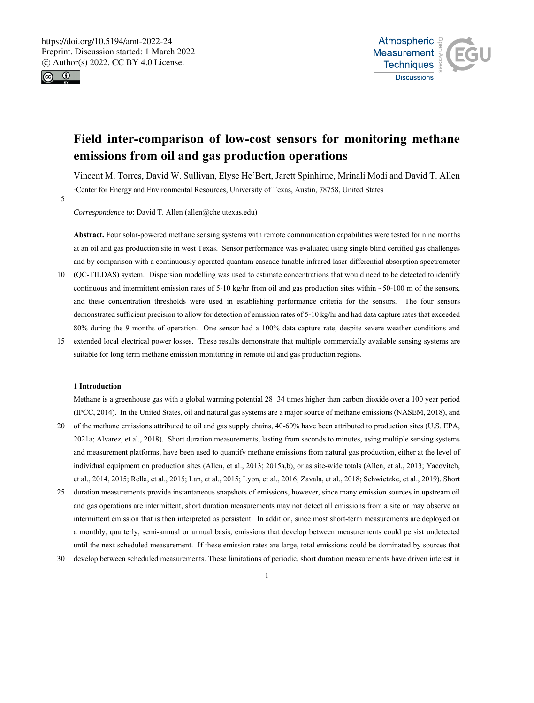



# **Field inter-comparison of low-cost sensors for monitoring methane emissions from oil and gas production operations**

Vincent M. Torres, David W. Sullivan, Elyse He'Bert, Jarett Spinhirne, Mrinali Modi and David T. Allen <sup>1</sup>Center for Energy and Environmental Resources, University of Texas, Austin, 78758, United States

5

*Correspondence to*: David T. Allen (allen@che.utexas.edu)

**Abstract.** Four solar-powered methane sensing systems with remote communication capabilities were tested for nine months at an oil and gas production site in west Texas. Sensor performance was evaluated using single blind certified gas challenges and by comparison with a continuously operated quantum cascade tunable infrared laser differential absorption spectrometer

- 10 (QC-TILDAS) system. Dispersion modelling was used to estimate concentrations that would need to be detected to identify continuous and intermittent emission rates of 5-10 kg/hr from oil and gas production sites within  $\sim$ 50-100 m of the sensors, and these concentration thresholds were used in establishing performance criteria for the sensors. The four sensors demonstrated sufficient precision to allow for detection of emission rates of 5-10 kg/hr and had data capture rates that exceeded 80% during the 9 months of operation. One sensor had a 100% data capture rate, despite severe weather conditions and
- 15 extended local electrical power losses. These results demonstrate that multiple commercially available sensing systems are suitable for long term methane emission monitoring in remote oil and gas production regions.

#### **1 Introduction**

Methane is a greenhouse gas with a global warming potential 28−34 times higher than carbon dioxide over a 100 year period (IPCC, 2014). In the United States, oil and natural gas systems are a major source of methane emissions (NASEM, 2018), and

- 20 of the methane emissions attributed to oil and gas supply chains, 40-60% have been attributed to production sites (U.S. EPA, 2021a; Alvarez, et al., 2018). Short duration measurements, lasting from seconds to minutes, using multiple sensing systems and measurement platforms, have been used to quantify methane emissions from natural gas production, either at the level of individual equipment on production sites (Allen, et al., 2013; 2015a,b), or as site-wide totals (Allen, et al., 2013; Yacovitch, et al., 2014, 2015; Rella, et al., 2015; Lan, et al., 2015; Lyon, et al., 2016; Zavala, et al., 2018; Schwietzke, et al., 2019). Short
- 25 duration measurements provide instantaneous snapshots of emissions, however, since many emission sources in upstream oil and gas operations are intermittent, short duration measurements may not detect all emissions from a site or may observe an intermittent emission that is then interpreted as persistent. In addition, since most short-term measurements are deployed on a monthly, quarterly, semi-annual or annual basis, emissions that develop between measurements could persist undetected until the next scheduled measurement. If these emission rates are large, total emissions could be dominated by sources that
- 30 develop between scheduled measurements. These limitations of periodic, short duration measurements have driven interest in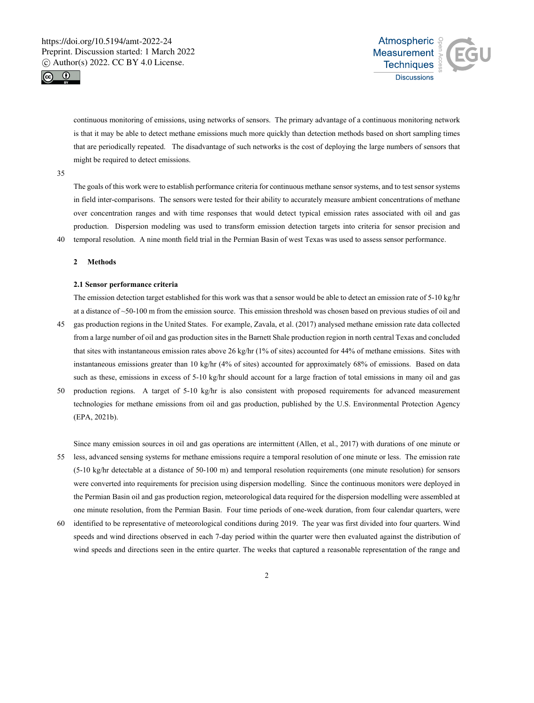



continuous monitoring of emissions, using networks of sensors. The primary advantage of a continuous monitoring network is that it may be able to detect methane emissions much more quickly than detection methods based on short sampling times that are periodically repeated. The disadvantage of such networks is the cost of deploying the large numbers of sensors that might be required to detect emissions.

### 35

The goals of this work were to establish performance criteria for continuous methane sensor systems, and to test sensor systems in field inter-comparisons. The sensors were tested for their ability to accurately measure ambient concentrations of methane over concentration ranges and with time responses that would detect typical emission rates associated with oil and gas production. Dispersion modeling was used to transform emission detection targets into criteria for sensor precision and 40 temporal resolution. A nine month field trial in the Permian Basin of west Texas was used to assess sensor performance.

#### **2 Methods**

## **2.1 Sensor performance criteria**

The emission detection target established for this work was that a sensor would be able to detect an emission rate of 5-10 kg/hr at a distance of ~50-100 m from the emission source. This emission threshold was chosen based on previous studies of oil and 45 gas production regions in the United States. For example, Zavala, et al. (2017) analysed methane emission rate data collected from a large number of oil and gas production sites in the Barnett Shale production region in north central Texas and concluded that sites with instantaneous emission rates above 26 kg/hr (1% of sites) accounted for 44% of methane emissions. Sites with instantaneous emissions greater than 10 kg/hr (4% of sites) accounted for approximately 68% of emissions. Based on data

such as these, emissions in excess of 5-10 kg/hr should account for a large fraction of total emissions in many oil and gas

50 production regions. A target of 5-10 kg/hr is also consistent with proposed requirements for advanced measurement technologies for methane emissions from oil and gas production, published by the U.S. Environmental Protection Agency (EPA, 2021b).

Since many emission sources in oil and gas operations are intermittent (Allen, et al., 2017) with durations of one minute or

- 55 less, advanced sensing systems for methane emissions require a temporal resolution of one minute or less. The emission rate (5-10 kg/hr detectable at a distance of 50-100 m) and temporal resolution requirements (one minute resolution) for sensors were converted into requirements for precision using dispersion modelling. Since the continuous monitors were deployed in the Permian Basin oil and gas production region, meteorological data required for the dispersion modelling were assembled at one minute resolution, from the Permian Basin. Four time periods of one-week duration, from four calendar quarters, were
- 60 identified to be representative of meteorological conditions during 2019. The year was first divided into four quarters. Wind speeds and wind directions observed in each 7-day period within the quarter were then evaluated against the distribution of wind speeds and directions seen in the entire quarter. The weeks that captured a reasonable representation of the range and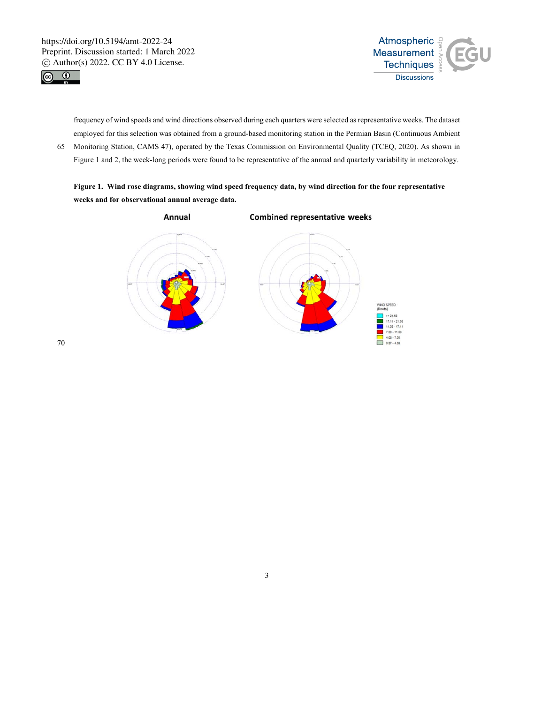



frequency of wind speeds and wind directions observed during each quarters were selected as representative weeks. The dataset employed for this selection was obtained from a ground-based monitoring station in the Permian Basin (Continuous Ambient

65 Monitoring Station, CAMS 47), operated by the Texas Commission on Environmental Quality (TCEQ, 2020). As shown in Figure 1 and 2, the week-long periods were found to be representative of the annual and quarterly variability in meteorology.

**Figure 1. Wind rose diagrams, showing wind speed frequency data, by wind direction for the four representative weeks and for observational annual average data.** 

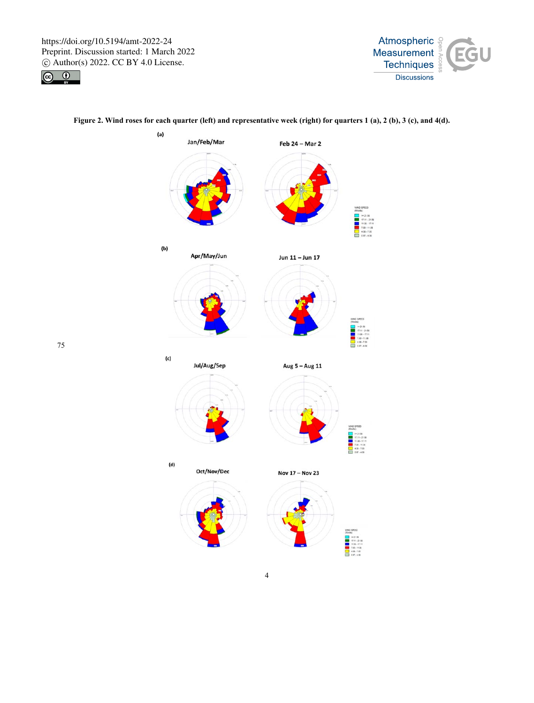

75





# **Figure 2. Wind roses for each quarter (left) and representative week (right) for quarters 1 (a), 2 (b), 3 (c), and 4(d).**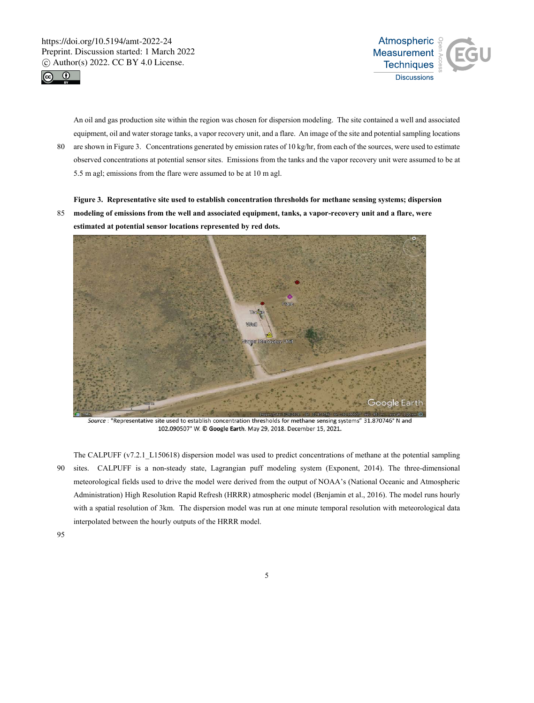



An oil and gas production site within the region was chosen for dispersion modeling. The site contained a well and associated equipment, oil and water storage tanks, a vapor recovery unit, and a flare. An image of the site and potential sampling locations

80 are shown in Figure 3. Concentrations generated by emission rates of 10 kg/hr, from each of the sources, were used to estimate observed concentrations at potential sensor sites. Emissions from the tanks and the vapor recovery unit were assumed to be at 5.5 m agl; emissions from the flare were assumed to be at 10 m agl.

**Figure 3. Representative site used to establish concentration thresholds for methane sensing systems; dispersion** 

85 **modeling of emissions from the well and associated equipment, tanks, a vapor-recovery unit and a flare, were estimated at potential sensor locations represented by red dots.** 



Source : "Representative site used to establish concentration thresholds for methane sensing systems" 31.870746° N and 102.090507° W. © Google Earth. May 29, 2018. December 15, 2021.

The CALPUFF (v7.2.1\_L150618) dispersion model was used to predict concentrations of methane at the potential sampling 90 sites. CALPUFF is a non-steady state, Lagrangian puff modeling system (Exponent, 2014). The three-dimensional meteorological fields used to drive the model were derived from the output of NOAA's (National Oceanic and Atmospheric Administration) High Resolution Rapid Refresh (HRRR) atmospheric model (Benjamin et al., 2016). The model runs hourly with a spatial resolution of 3km. The dispersion model was run at one minute temporal resolution with meteorological data interpolated between the hourly outputs of the HRRR model.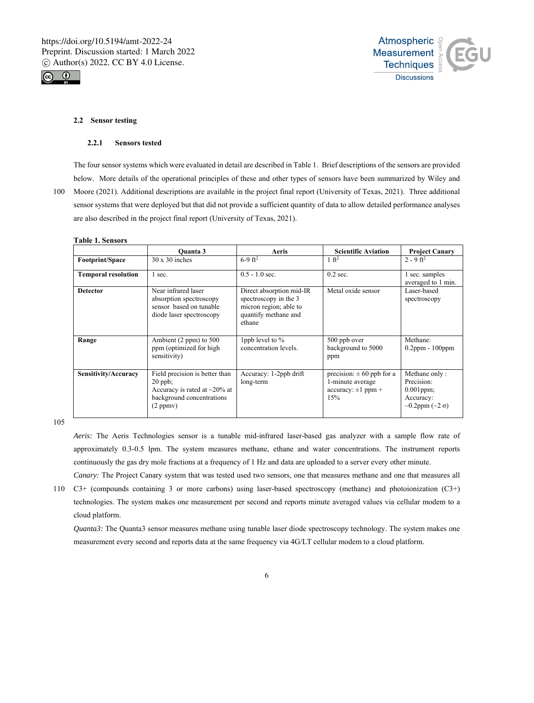



## **2.2 Sensor testing**

### **2.2.1 Sensors tested**

The four sensor systems which were evaluated in detail are described in Table 1. Brief descriptions of the sensors are provided below. More details of the operational principles of these and other types of sensors have been summarized by Wiley and

100 Moore (2021). Additional descriptions are available in the project final report (University of Texas, 2021). Three additional sensor systems that were deployed but that did not provide a sufficient quantity of data to allow detailed performance analyses are also described in the project final report (University of Texas, 2021).

#### **Table 1. Sensors**

|                            | <b>Ouanta</b> 3                                                                                                            | Aeris                                                                                                         | <b>Scientific Aviation</b>                                                          | <b>Project Canary</b>                                                                          |
|----------------------------|----------------------------------------------------------------------------------------------------------------------------|---------------------------------------------------------------------------------------------------------------|-------------------------------------------------------------------------------------|------------------------------------------------------------------------------------------------|
| Footprint/Space            | $30 \times 30$ inches                                                                                                      | $6-9$ ft <sup>2</sup>                                                                                         | 1 ft <sup>2</sup>                                                                   | $2 - 9$ ft <sup>2</sup>                                                                        |
| <b>Temporal resolution</b> | 1 sec.                                                                                                                     | $0.5 - 1.0$ sec.                                                                                              | $0.2$ sec.                                                                          | 1 sec. samples<br>averaged to 1 min.                                                           |
| <b>Detector</b>            | Near infrared laser<br>absorption spectroscopy<br>sensor based on tunable<br>diode laser spectroscopy                      | Direct absorption mid-IR<br>spectroscopy in the 3<br>micron region; able to<br>quantify methane and<br>ethane | Metal oxide sensor                                                                  | Laser-based<br>spectroscopy                                                                    |
| Range                      | Ambient $(2 ppm)$ to 500<br>ppm (optimized for high<br>sensitivity)                                                        | 1ppb level to %<br>concentration levels.                                                                      | 500 ppb over<br>background to 5000<br>ppm                                           | Methane:<br>$0.2$ ppm - $100$ ppm                                                              |
| Sensitivity/Accuracy       | Field precision is better than<br>$20$ ppb;<br>Accuracy is rated at $\sim$ 20% at<br>background concentrations<br>(2 ppmv) | Accuracy: 1-2ppb drift<br>long-term                                                                           | precision: $\pm 60$ ppb for a<br>1-minute average<br>$accuracy: \pm 1$ ppm +<br>15% | Methane only:<br>Precision:<br>$0.001$ ppm;<br>Accuracy:<br>$\sim 0.2$ ppm ( $\sim 2 \sigma$ ) |

105

*Aeris:* The Aeris Technologies sensor is a tunable mid-infrared laser-based gas analyzer with a sample flow rate of approximately 0.3-0.5 lpm. The system measures methane, ethane and water concentrations. The instrument reports continuously the gas dry mole fractions at a frequency of 1 Hz and data are uploaded to a server every other minute.

*Canary:* The Project Canary system that was tested used two sensors, one that measures methane and one that measures all 110 C3+ (compounds containing 3 or more carbons) using laser-based spectroscopy (methane) and photoionization (C3+) technologies. The system makes one measurement per second and reports minute averaged values via cellular modem to a cloud platform.

*Quanta3:* The Quanta3 sensor measures methane using tunable laser diode spectroscopy technology. The system makes one measurement every second and reports data at the same frequency via 4G/LT cellular modem to a cloud platform.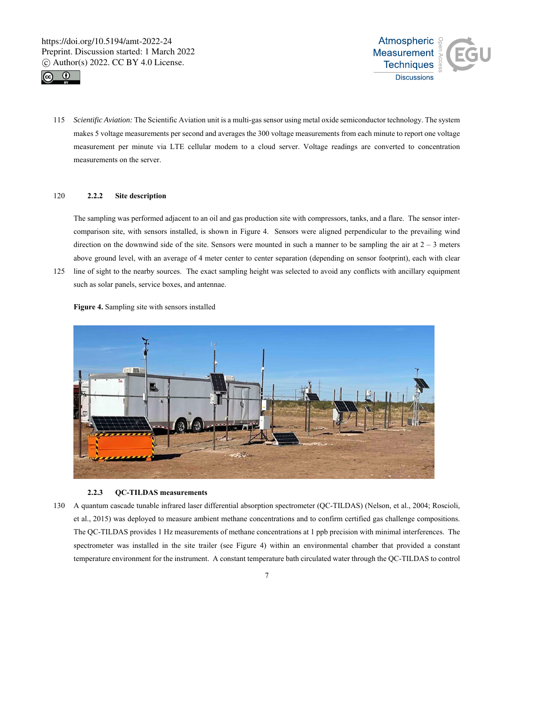



115 *Scientific Aviation:* The Scientific Aviation unit is a multi-gas sensor using metal oxide semiconductor technology. The system makes 5 voltage measurements per second and averages the 300 voltage measurements from each minute to report one voltage measurement per minute via LTE cellular modem to a cloud server. Voltage readings are converted to concentration measurements on the server.

## 120 **2.2.2 Site description**

The sampling was performed adjacent to an oil and gas production site with compressors, tanks, and a flare. The sensor intercomparison site, with sensors installed, is shown in Figure 4. Sensors were aligned perpendicular to the prevailing wind direction on the downwind side of the site. Sensors were mounted in such a manner to be sampling the air at  $2 - 3$  meters above ground level, with an average of 4 meter center to center separation (depending on sensor footprint), each with clear

125 line of sight to the nearby sources. The exact sampling height was selected to avoid any conflicts with ancillary equipment such as solar panels, service boxes, and antennae.

**Figure 4.** Sampling site with sensors installed



## **2.2.3 QC-TILDAS measurements**

130 A quantum cascade tunable infrared laser differential absorption spectrometer (QC-TILDAS) (Nelson, et al., 2004; Roscioli, et al., 2015) was deployed to measure ambient methane concentrations and to confirm certified gas challenge compositions. The QC-TILDAS provides 1 Hz measurements of methane concentrations at 1 ppb precision with minimal interferences. The spectrometer was installed in the site trailer (see Figure 4) within an environmental chamber that provided a constant temperature environment for the instrument. A constant temperature bath circulated water through the QC-TILDAS to control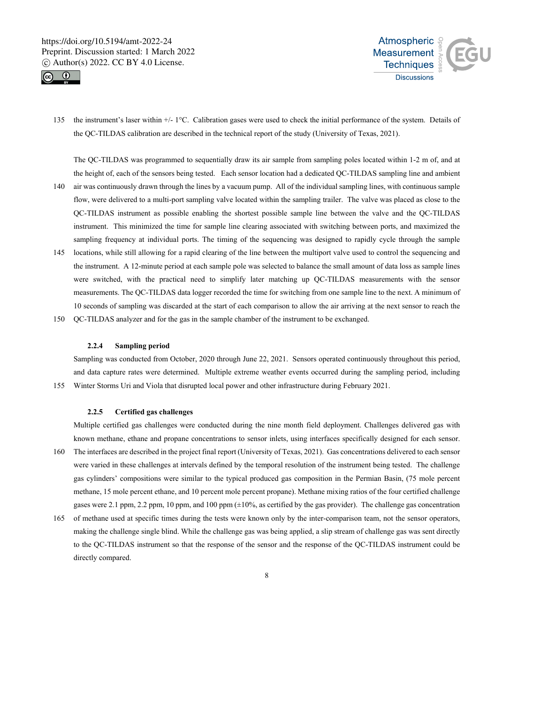



135 the instrument's laser within +/- 1°C. Calibration gases were used to check the initial performance of the system. Details of the QC-TILDAS calibration are described in the technical report of the study (University of Texas, 2021).

The QC-TILDAS was programmed to sequentially draw its air sample from sampling poles located within 1-2 m of, and at the height of, each of the sensors being tested. Each sensor location had a dedicated QC-TILDAS sampling line and ambient

- 140 air was continuously drawn through the lines by a vacuum pump. All of the individual sampling lines, with continuous sample flow, were delivered to a multi-port sampling valve located within the sampling trailer. The valve was placed as close to the QC-TILDAS instrument as possible enabling the shortest possible sample line between the valve and the QC-TILDAS instrument. This minimized the time for sample line clearing associated with switching between ports, and maximized the sampling frequency at individual ports. The timing of the sequencing was designed to rapidly cycle through the sample
- 145 locations, while still allowing for a rapid clearing of the line between the multiport valve used to control the sequencing and the instrument. A 12-minute period at each sample pole was selected to balance the small amount of data loss as sample lines were switched, with the practical need to simplify later matching up QC-TILDAS measurements with the sensor measurements. The QC-TILDAS data logger recorded the time for switching from one sample line to the next. A minimum of 10 seconds of sampling was discarded at the start of each comparison to allow the air arriving at the next sensor to reach the
- 150 QC-TILDAS analyzer and for the gas in the sample chamber of the instrument to be exchanged.

#### **2.2.4 Sampling period**

Sampling was conducted from October, 2020 through June 22, 2021. Sensors operated continuously throughout this period, and data capture rates were determined. Multiple extreme weather events occurred during the sampling period, including 155 Winter Storms Uri and Viola that disrupted local power and other infrastructure during February 2021.

#### **2.2.5 Certified gas challenges**

Multiple certified gas challenges were conducted during the nine month field deployment. Challenges delivered gas with known methane, ethane and propane concentrations to sensor inlets, using interfaces specifically designed for each sensor.

- 160 The interfaces are described in the project final report (University of Texas, 2021). Gas concentrations delivered to each sensor were varied in these challenges at intervals defined by the temporal resolution of the instrument being tested. The challenge gas cylinders' compositions were similar to the typical produced gas composition in the Permian Basin, (75 mole percent methane, 15 mole percent ethane, and 10 percent mole percent propane). Methane mixing ratios of the four certified challenge gases were 2.1 ppm, 2.2 ppm, 10 ppm, and 100 ppm (±10%, as certified by the gas provider). The challenge gas concentration
- 165 of methane used at specific times during the tests were known only by the inter-comparison team, not the sensor operators, making the challenge single blind. While the challenge gas was being applied, a slip stream of challenge gas was sent directly to the QC-TILDAS instrument so that the response of the sensor and the response of the QC-TILDAS instrument could be directly compared.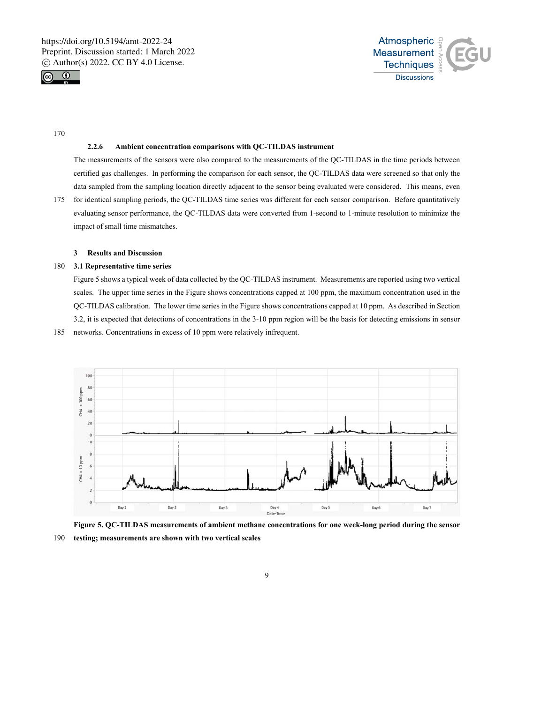



170

## **2.2.6 Ambient concentration comparisons with QC-TILDAS instrument**

The measurements of the sensors were also compared to the measurements of the QC-TILDAS in the time periods between certified gas challenges. In performing the comparison for each sensor, the QC-TILDAS data were screened so that only the data sampled from the sampling location directly adjacent to the sensor being evaluated were considered. This means, even

175 for identical sampling periods, the QC-TILDAS time series was different for each sensor comparison. Before quantitatively evaluating sensor performance, the QC-TILDAS data were converted from 1-second to 1-minute resolution to minimize the impact of small time mismatches.

## **3 Results and Discussion**

## 180 **3.1 Representative time series**

Figure 5 shows a typical week of data collected by the QC-TILDAS instrument. Measurements are reported using two vertical scales. The upper time series in the Figure shows concentrations capped at 100 ppm, the maximum concentration used in the QC-TILDAS calibration. The lower time series in the Figure shows concentrations capped at 10 ppm. As described in Section 3.2, it is expected that detections of concentrations in the 3-10 ppm region will be the basis for detecting emissions in sensor 185 networks. Concentrations in excess of 10 ppm were relatively infrequent.



**Figure 5. QC-TILDAS measurements of ambient methane concentrations for one week-long period during the sensor**  190 **testing; measurements are shown with two vertical scales**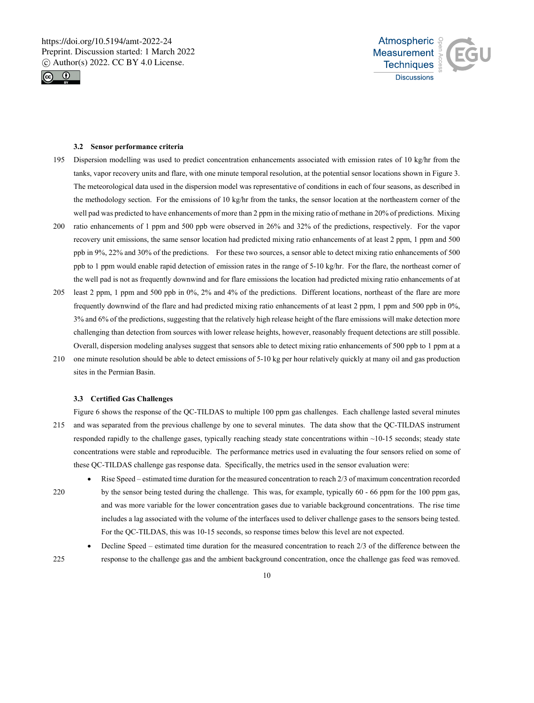



## **3.2 Sensor performance criteria**

- 195 Dispersion modelling was used to predict concentration enhancements associated with emission rates of 10 kg/hr from the tanks, vapor recovery units and flare, with one minute temporal resolution, at the potential sensor locations shown in Figure 3. The meteorological data used in the dispersion model was representative of conditions in each of four seasons, as described in the methodology section. For the emissions of 10 kg/hr from the tanks, the sensor location at the northeastern corner of the well pad was predicted to have enhancements of more than 2 ppm in the mixing ratio of methane in 20% of predictions. Mixing
- 200 ratio enhancements of 1 ppm and 500 ppb were observed in 26% and 32% of the predictions, respectively. For the vapor recovery unit emissions, the same sensor location had predicted mixing ratio enhancements of at least 2 ppm, 1 ppm and 500 ppb in 9%, 22% and 30% of the predictions. For these two sources, a sensor able to detect mixing ratio enhancements of 500 ppb to 1 ppm would enable rapid detection of emission rates in the range of 5-10 kg/hr. For the flare, the northeast corner of the well pad is not as frequently downwind and for flare emissions the location had predicted mixing ratio enhancements of at
- 205 least 2 ppm, 1 ppm and 500 ppb in 0%, 2% and 4% of the predictions. Different locations, northeast of the flare are more frequently downwind of the flare and had predicted mixing ratio enhancements of at least 2 ppm, 1 ppm and 500 ppb in 0%, 3% and 6% of the predictions, suggesting that the relatively high release height of the flare emissions will make detection more challenging than detection from sources with lower release heights, however, reasonably frequent detections are still possible. Overall, dispersion modeling analyses suggest that sensors able to detect mixing ratio enhancements of 500 ppb to 1 ppm at a
- 210 one minute resolution should be able to detect emissions of 5-10 kg per hour relatively quickly at many oil and gas production sites in the Permian Basin.

## **3.3 Certified Gas Challenges**

Figure 6 shows the response of the QC-TILDAS to multiple 100 ppm gas challenges. Each challenge lasted several minutes 215 and was separated from the previous challenge by one to several minutes. The data show that the QC-TILDAS instrument responded rapidly to the challenge gases, typically reaching steady state concentrations within ~10-15 seconds; steady state concentrations were stable and reproducible. The performance metrics used in evaluating the four sensors relied on some of these QC-TILDAS challenge gas response data. Specifically, the metrics used in the sensor evaluation were:

- Rise Speed estimated time duration for the measured concentration to reach 2/3 of maximum concentration recorded 220 by the sensor being tested during the challenge. This was, for example, typically 60 - 66 ppm for the 100 ppm gas, and was more variable for the lower concentration gases due to variable background concentrations. The rise time includes a lag associated with the volume of the interfaces used to deliver challenge gases to the sensors being tested. For the QC-TILDAS, this was 10-15 seconds, so response times below this level are not expected.
- Decline Speed estimated time duration for the measured concentration to reach 2/3 of the difference between the 225 response to the challenge gas and the ambient background concentration, once the challenge gas feed was removed.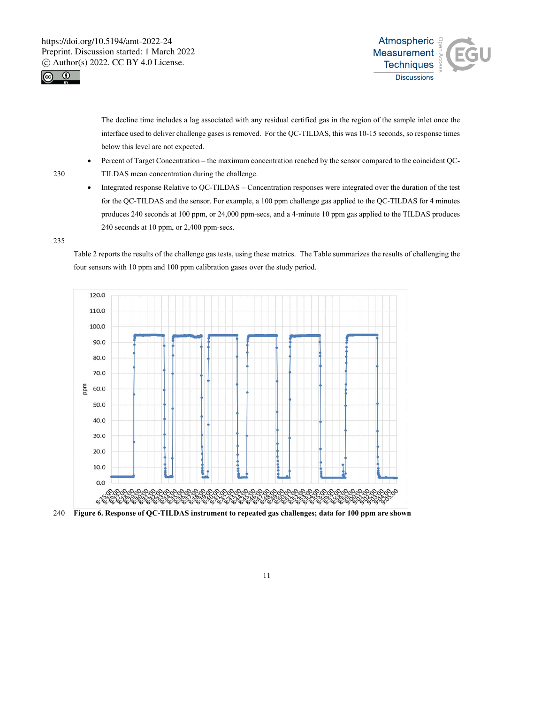



The decline time includes a lag associated with any residual certified gas in the region of the sample inlet once the interface used to deliver challenge gases is removed. For the QC-TILDAS, this was 10-15 seconds, so response times below this level are not expected.

- Percent of Target Concentration the maximum concentration reached by the sensor compared to the coincident QC-230 TILDAS mean concentration during the challenge.
	- Integrated response Relative to QC-TILDAS Concentration responses were integrated over the duration of the test for the QC-TILDAS and the sensor. For example, a 100 ppm challenge gas applied to the QC-TILDAS for 4 minutes produces 240 seconds at 100 ppm, or 24,000 ppm-secs, and a 4-minute 10 ppm gas applied to the TILDAS produces 240 seconds at 10 ppm, or 2,400 ppm-secs.

235

Table 2 reports the results of the challenge gas tests, using these metrics. The Table summarizes the results of challenging the four sensors with 10 ppm and 100 ppm calibration gases over the study period.



240 **Figure 6. Response of QC-TILDAS instrument to repeated gas challenges; data for 100 ppm are shown**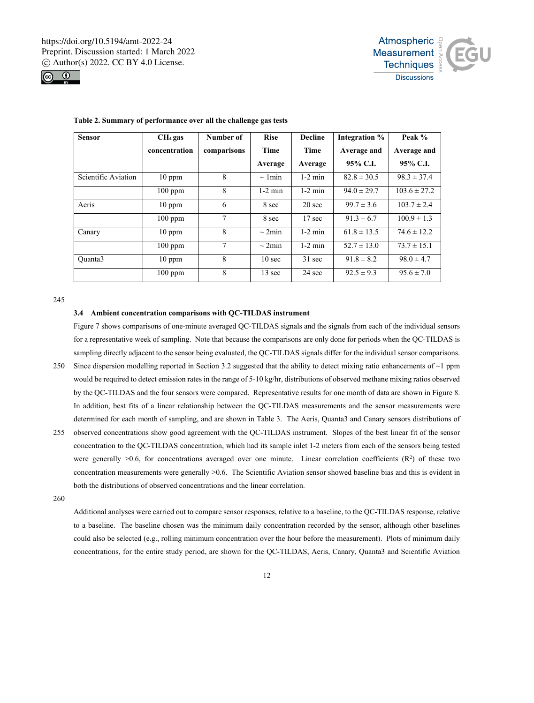



| <b>Sensor</b>       | $CH4$ gas     | Number of      | <b>Rise</b>       | <b>Decline</b>    | Integration %   | Peak %           |
|---------------------|---------------|----------------|-------------------|-------------------|-----------------|------------------|
|                     | concentration | comparisons    | <b>Time</b>       | Time              | Average and     | Average and      |
|                     |               |                | Average           | Average           | 95% C.I.        | 95% C.I.         |
| Scientific Aviation | $10$ ppm      | 8              | $\sim 1$ min      | $1-2$ min         | $82.8 \pm 30.5$ | $98.3 \pm 37.4$  |
|                     | $100$ ppm     | 8              | $1-2$ min         | $1-2$ min         | $94.0 \pm 29.7$ | $103.6 \pm 27.2$ |
| Aeris               | $10$ ppm      | 6              | 8 sec             | $20 \text{ sec}$  | $99.7 \pm 3.6$  | $103.7 \pm 2.4$  |
|                     | $100$ ppm     | 7              | 8 sec             | 17 <sub>sec</sub> | $91.3 \pm 6.7$  | $100.9 \pm 1.3$  |
| Canary              | $10$ ppm      | 8              | $\sim$ 2min       | $1-2$ min         | $61.8 \pm 13.5$ | $74.6 \pm 12.2$  |
|                     | $100$ ppm     | $\overline{7}$ | $\sim$ 2min       | $1-2$ min         | $52.7 \pm 13.0$ | $73.7 \pm 15.1$  |
| Ouanta3             | $10$ ppm      | 8              | 10 <sub>sec</sub> | $31 \text{ sec}$  | $91.8 \pm 8.2$  | $98.0 \pm 4.7$   |
|                     | $100$ ppm     | 8              | 13 sec            | $24 \text{ sec}$  | $92.5 \pm 9.3$  | $95.6 \pm 7.0$   |

#### **Table 2. Summary of performance over all the challenge gas tests**

245

### **3.4 Ambient concentration comparisons with QC-TILDAS instrument**

Figure 7 shows comparisons of one-minute averaged QC-TILDAS signals and the signals from each of the individual sensors for a representative week of sampling. Note that because the comparisons are only done for periods when the QC-TILDAS is sampling directly adjacent to the sensor being evaluated, the QC-TILDAS signals differ for the individual sensor comparisons.

- 250 Since dispersion modelling reported in Section 3.2 suggested that the ability to detect mixing ratio enhancements of  $\sim$ 1 ppm would be required to detect emission rates in the range of 5-10 kg/hr, distributions of observed methane mixing ratios observed by the QC-TILDAS and the four sensors were compared. Representative results for one month of data are shown in Figure 8. In addition, best fits of a linear relationship between the QC-TILDAS measurements and the sensor measurements were determined for each month of sampling, and are shown in Table 3. The Aeris, Quanta3 and Canary sensors distributions of
- 255 observed concentrations show good agreement with the QC-TILDAS instrument. Slopes of the best linear fit of the sensor concentration to the QC-TILDAS concentration, which had its sample inlet 1-2 meters from each of the sensors being tested were generally  $>0.6$ , for concentrations averaged over one minute. Linear correlation coefficients  $(R^2)$  of these two concentration measurements were generally >0.6. The Scientific Aviation sensor showed baseline bias and this is evident in both the distributions of observed concentrations and the linear correlation.

260

Additional analyses were carried out to compare sensor responses, relative to a baseline, to the QC-TILDAS response, relative to a baseline. The baseline chosen was the minimum daily concentration recorded by the sensor, although other baselines could also be selected (e.g., rolling minimum concentration over the hour before the measurement). Plots of minimum daily concentrations, for the entire study period, are shown for the QC-TILDAS, Aeris, Canary, Quanta3 and Scientific Aviation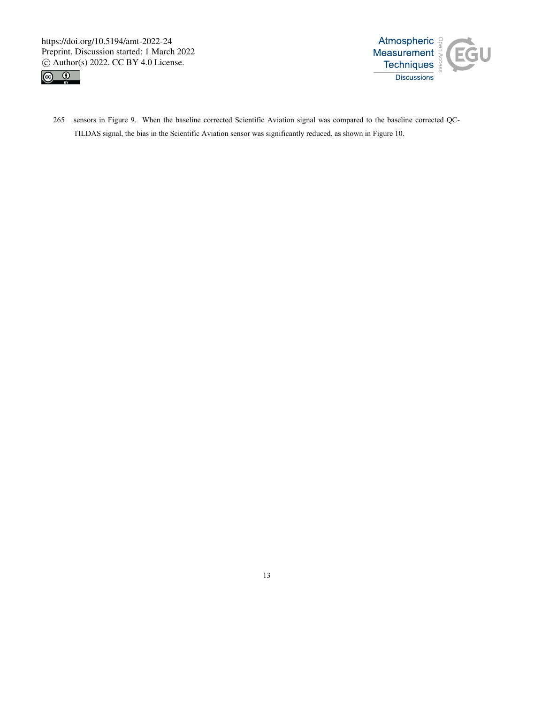Preprint. Discussion started: 1 March 2022  $\circ$  Author(s) 2022. CC BY 4.0 License.





265 sensors in Figure 9. When the baseline corrected Scientific Aviation signal was compared to the baseline corrected QC-TILDAS signal, the bias in the Scientific Aviation signal was compared to the baseling TILDAS signal, the bias in the Scientific Aviation sensor was significantly reduced, as shown in Figure 10.<br>Till and Scientific Aviatio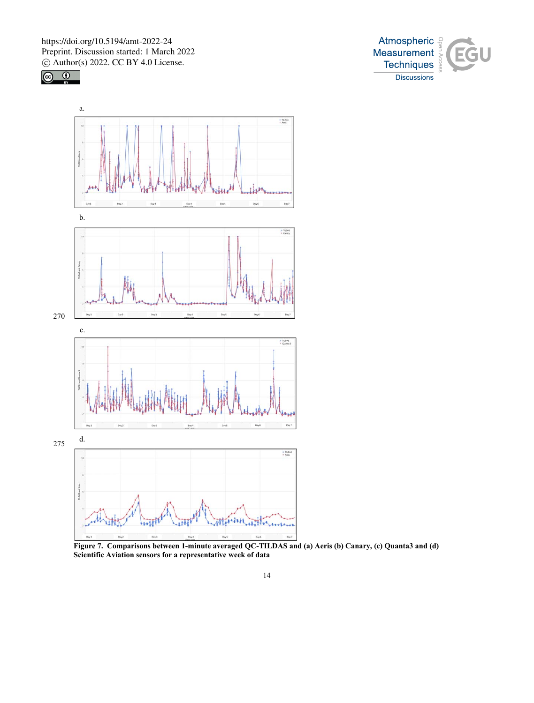





**Figure 7. Comparisons between 1-minute averaged QC-TILDAS and (a) Aeris (b) Canary, (c) Quanta3 and (d) Scientific Aviation sensors for a representative week of data**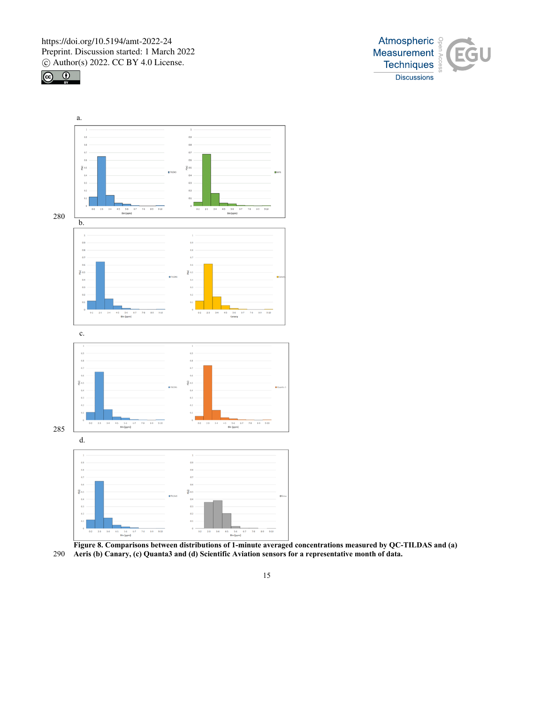





**Figure 8. Comparisons between distributions of 1-minute averaged concentrations measured by QC-TILDAS and (a)**  290 **Aeris (b) Canary, (c) Quanta3 and (d) Scientific Aviation sensors for a representative month of data.**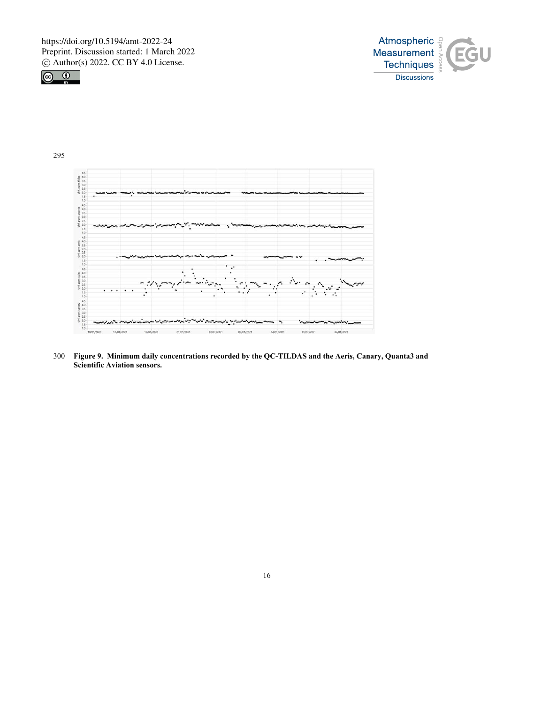





300 **Figure 9. Minimum daily concentrations recorded by the QC-TILDAS and the Aeris, Canary, Quanta3 and Scientific Aviation sensors.**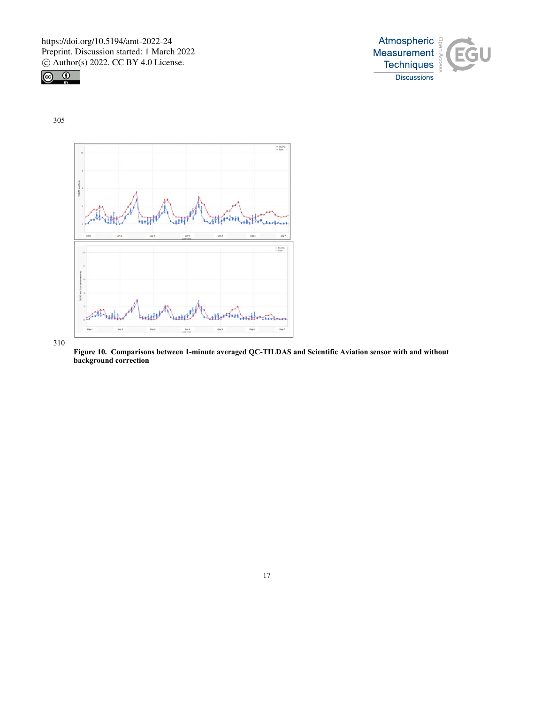



305



**Figure 10. Comparisons between 1-minute averaged QC-TILDAS and Scientific Aviation sensor with and without background correction**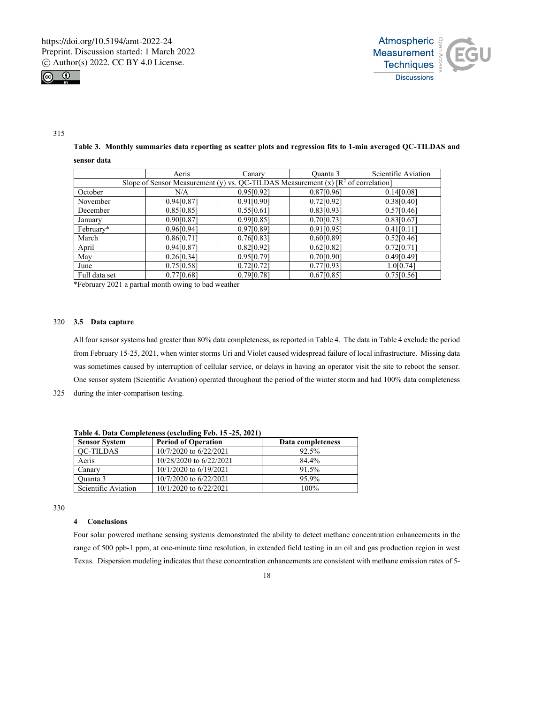



## 315

**Table 3. Monthly summaries data reporting as scatter plots and regression fits to 1-min averaged QC-TILDAS and sensor data** 

|                                                                                             | Aeris      | Canary     | Quanta 3   | Scientific Aviation |  |
|---------------------------------------------------------------------------------------------|------------|------------|------------|---------------------|--|
| Slope of Sensor Measurement (y) vs. QC-TILDAS Measurement (x) $\mathbb{R}^2$ of correlation |            |            |            |                     |  |
| October                                                                                     | N/A        | 0.95[0.92] | 0.87[0.96] | 0.14[0.08]          |  |
| November                                                                                    | 0.94[0.87] | 0.91[0.90] | 0.72[0.92] | 0.38[0.40]          |  |
| December                                                                                    | 0.85[0.85] | 0.55[0.61] | 0.83[0.93] | 0.57[0.46]          |  |
| January                                                                                     | 0.90[0.87] | 0.99[0.85] | 0.70[0.73] | 0.83[0.67]          |  |
| February*                                                                                   | 0.96[0.94] | 0.97[0.89] | 0.91[0.95] | 0.41[0.11]          |  |
| March                                                                                       | 0.86[0.71] | 0.76[0.83] | 0.60[0.89] | 0.52[0.46]          |  |
| April                                                                                       | 0.94[0.87] | 0.82[0.92] | 0.62[0.82] | 0.72[0.71]          |  |
| May                                                                                         | 0.26[0.34] | 0.95[0.79] | 0.70[0.90] | 0.49[0.49]          |  |
| June                                                                                        | 0.75[0.58] | 0.72[0.72] | 0.77[0.93] | 1.0[0.74]           |  |
| Full data set                                                                               | 0.77[0.68] | 0.79[0.78] | 0.67[0.85] | 0.75[0.56]          |  |

\*February 2021 a partial month owing to bad weather

## 320 **3.5 Data capture**

All four sensor systems had greater than 80% data completeness, as reported in Table 4. The data in Table 4 exclude the period from February 15-25, 2021, when winter storms Uri and Violet caused widespread failure of local infrastructure. Missing data was sometimes caused by interruption of cellular service, or delays in having an operator visit the site to reboot the sensor. One sensor system (Scientific Aviation) operated throughout the period of the winter storm and had 100% data completeness

325 during the inter-comparison testing.

| <b>Sensor System</b> | <b>Period of Operation</b> | Data completeness |  |  |
|----------------------|----------------------------|-------------------|--|--|
| <b>OC-TILDAS</b>     | 10/7/2020 to 6/22/2021     | 92.5%             |  |  |
| Aeris                | 10/28/2020 to 6/22/2021    | 84.4%             |  |  |
| Canary               | $10/1/2020$ to $6/19/2021$ | 91.5%             |  |  |
| Ouanta 3             | 10/7/2020 to 6/22/2021     | 95.9%             |  |  |
| Scientific Aviation  | 10/1/2020 to 6/22/2021     | 100%              |  |  |

**Table 4. Data Completeness (excluding Feb. 15 -25, 2021)** 

330

# **4 Conclusions**

Four solar powered methane sensing systems demonstrated the ability to detect methane concentration enhancements in the range of 500 ppb-1 ppm, at one-minute time resolution, in extended field testing in an oil and gas production region in west Texas. Dispersion modeling indicates that these concentration enhancements are consistent with methane emission rates of 5-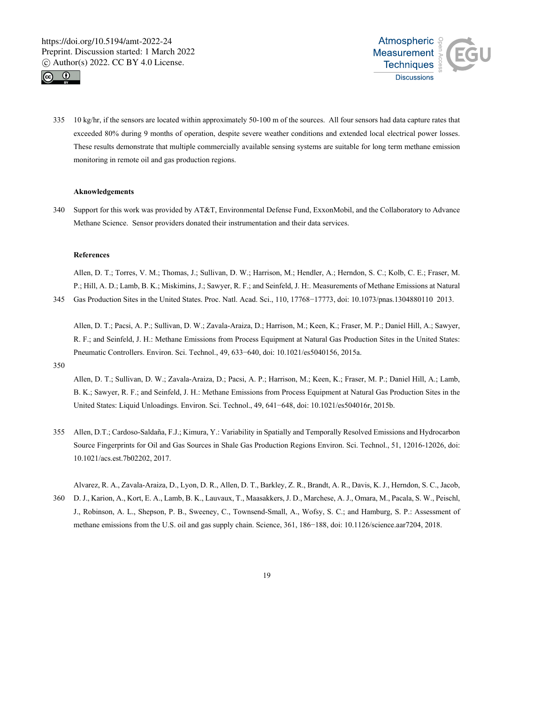



335 10 kg/hr, if the sensors are located within approximately 50-100 m of the sources. All four sensors had data capture rates that exceeded 80% during 9 months of operation, despite severe weather conditions and extended local electrical power losses. These results demonstrate that multiple commercially available sensing systems are suitable for long term methane emission monitoring in remote oil and gas production regions.

### **Aknowledgements**

340 Support for this work was provided by AT&T, Environmental Defense Fund, ExxonMobil, and the Collaboratory to Advance Methane Science. Sensor providers donated their instrumentation and their data services.

## **References**

Allen, D. T.; Torres, V. M.; Thomas, J.; Sullivan, D. W.; Harrison, M.; Hendler, A.; Herndon, S. C.; Kolb, C. E.; Fraser, M. P.; Hill, A. D.; Lamb, B. K.; Miskimins, J.; Sawyer, R. F.; and Seinfeld, J. H:. Measurements of Methane Emissions at Natural

345 Gas Production Sites in the United States. Proc. Natl. Acad. Sci., 110, 17768−17773, doi: 10.1073/pnas.1304880110 2013.

Allen, D. T.; Pacsi, A. P.; Sullivan, D. W.; Zavala-Araiza, D.; Harrison, M.; Keen, K.; Fraser, M. P.; Daniel Hill, A.; Sawyer, R. F.; and Seinfeld, J. H.: Methane Emissions from Process Equipment at Natural Gas Production Sites in the United States: Pneumatic Controllers. Environ. Sci. Technol., 49, 633−640, doi: 10.1021/es5040156, 2015a.

350

Allen, D. T.; Sullivan, D. W.; Zavala-Araiza, D.; Pacsi, A. P.; Harrison, M.; Keen, K.; Fraser, M. P.; Daniel Hill, A.; Lamb, B. K.; Sawyer, R. F.; and Seinfeld, J. H.: Methane Emissions from Process Equipment at Natural Gas Production Sites in the United States: Liquid Unloadings. Environ. Sci. Technol., 49, 641−648, doi: 10.1021/es504016r, 2015b.

355 Allen, D.T.; Cardoso-Saldaña, F.J.; Kimura, Y.: Variability in Spatially and Temporally Resolved Emissions and Hydrocarbon Source Fingerprints for Oil and Gas Sources in Shale Gas Production Regions Environ. Sci. Technol., 51, 12016-12026, doi: 10.1021/acs.est.7b02202, 2017.

Alvarez, R. A., Zavala-Araiza, D., Lyon, D. R., Allen, D. T., Barkley, Z. R., Brandt, A. R., Davis, K. J., Herndon, S. C., Jacob, 360 D. J., Karion, A., Kort, E. A., Lamb, B. K., Lauvaux, T., Maasakkers, J. D., Marchese, A. J., Omara, M., Pacala, S. W., Peischl, J., Robinson, A. L., Shepson, P. B., Sweeney, C., Townsend-Small, A., Wofsy, S. C.; and Hamburg, S. P.: Assessment of methane emissions from the U.S. oil and gas supply chain. Science, 361, 186−188, doi: 10.1126/science.aar7204, 2018.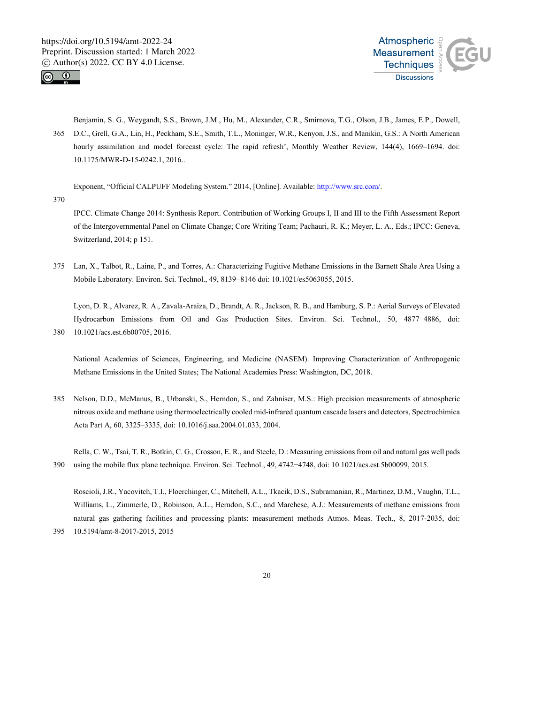



Benjamin, S. G., Weygandt, S.S., Brown, J.M., Hu, M., Alexander, C.R., Smirnova, T.G., Olson, J.B., James, E.P., Dowell, 365 D.C., Grell, G.A., Lin, H., Peckham, S.E., Smith, T.L., Moninger, W.R., Kenyon, J.S., and Manikin, G.S.: A North American hourly assimilation and model forecast cycle: The rapid refresh', Monthly Weather Review, 144(4), 1669-1694. doi: 10.1175/MWR-D-15-0242.1, 2016..

Exponent, "Official CALPUFF Modeling System." 2014, [Online]. Available: http://www.src.com/.

370

IPCC. Climate Change 2014: Synthesis Report. Contribution of Working Groups I, II and III to the Fifth Assessment Report of the Intergovernmental Panel on Climate Change; Core Writing Team; Pachauri, R. K.; Meyer, L. A., Eds.; IPCC: Geneva, Switzerland, 2014; p 151.

375 Lan, X., Talbot, R., Laine, P., and Torres, A.: Characterizing Fugitive Methane Emissions in the Barnett Shale Area Using a Mobile Laboratory. Environ. Sci. Technol., 49, 8139−8146 doi: 10.1021/es5063055, 2015.

Lyon, D. R., Alvarez, R. A., Zavala-Araiza, D., Brandt, A. R., Jackson, R. B., and Hamburg, S. P.: Aerial Surveys of Elevated Hydrocarbon Emissions from Oil and Gas Production Sites. Environ. Sci. Technol., 50, 4877−4886, doi: 380 10.1021/acs.est.6b00705, 2016.

National Academies of Sciences, Engineering, and Medicine (NASEM). Improving Characterization of Anthropogenic Methane Emissions in the United States; The National Academies Press: Washington, DC, 2018.

385 Nelson, D.D., McManus, B., Urbanski, S., Herndon, S., and Zahniser, M.S.: High precision measurements of atmospheric nitrous oxide and methane using thermoelectrically cooled mid-infrared quantum cascade lasers and detectors, Spectrochimica Acta Part A, 60, 3325–3335, doi: 10.1016/j.saa.2004.01.033, 2004.

Rella, C. W., Tsai, T. R., Botkin, C. G., Crosson, E. R., and Steele, D.: Measuring emissions from oil and natural gas well pads 390 using the mobile flux plane technique. Environ. Sci. Technol., 49, 4742−4748, doi: 10.1021/acs.est.5b00099, 2015.

Roscioli, J.R., Yacovitch, T.I., Floerchinger, C., Mitchell, A.L., Tkacik, D.S., Subramanian, R., Martinez, D.M., Vaughn, T.L., Williams, L., Zimmerle, D., Robinson, A.L., Herndon, S.C., and Marchese, A.J.: Measurements of methane emissions from natural gas gathering facilities and processing plants: measurement methods Atmos. Meas. Tech., 8, 2017-2035, doi: 395 10.5194/amt-8-2017-2015, 2015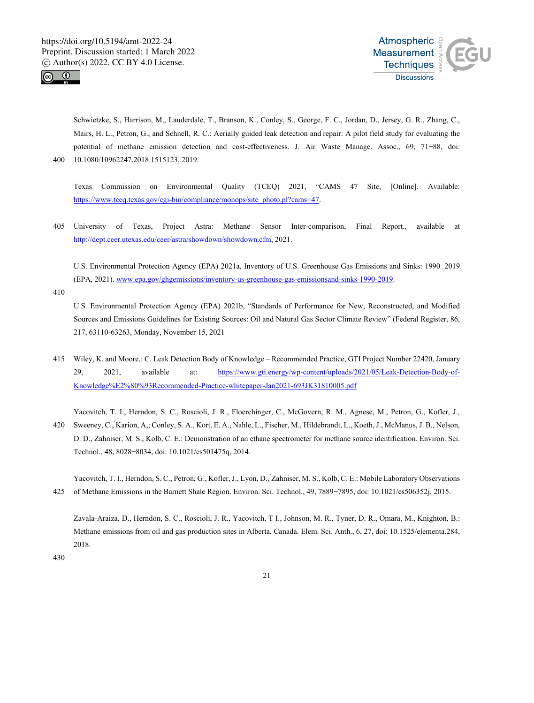



Schwietzke, S., Harrison, M., Lauderdale, T., Branson, K., Conley, S., George, F. C., Jordan, D., Jersey, G. R., Zhang, C., Mairs, H. L., Petron, G., and Schnell, R. C.: Aerially guided leak detection and repair: A pilot field study for evaluating the ́ potential of methane emission detection and cost-effectiveness. J. Air Waste Manage. Assoc., 69, 71−88, doi: 400 10.1080/10962247.2018.1515123, 2019.

Texas Commission on Environmental Quality (TCEQ) 2021, "CAMS 47 Site, [Online]. Available: https://www.tceq.texas.gov/cgi-bin/compliance/monops/site\_photo.pl?cams=47.

405 University of Texas, Project Astra: Methane Sensor Inter-comparison, Final Report., available at http://dept.ceer.utexas.edu/ceer/astra/showdown/showdown.cfm, 2021.

U.S. Environmental Protection Agency (EPA) 2021a, Inventory of U.S. Greenhouse Gas Emissions and Sinks: 1990−2019 (EPA, 2021). www.epa.gov/ghgemissions/inventory-us-greenhouse-gas-emissionsand-sinks-1990-2019.

410

U.S. Environmental Protection Agency (EPA) 2021b, "Standards of Performance for New, Reconstructed, and Modified Sources and Emissions Guidelines for Existing Sources: Oil and Natural Gas Sector Climate Review" (Federal Register, 86, 217, 63110-63263, Monday, November 15, 2021

415 Wiley, K. and Moore,: C. Leak Detection Body of Knowledge – Recommended Practice, GTI Project Number 22420, January 29, 2021, available at: https://www.gti.energy/wp-content/uploads/2021/05/Leak-Detection-Body-of-Knowledge%E2%80%93Recommended-Practice-whitepaper-Jan2021-693JK31810005.pdf

Yacovitch, T. I., Herndon, S. C., Roscioli, J. R., Floerchinger, C., McGovern, R. M., Agnese, M., Petron, G., Kofler, J.,

420 Sweeney, C., Karion, A.; Conley, S. A., Kort, E. A., Nahle, L., Fischer, M., Hildebrandt, L., Koeth, J., McManus, J. B., Nelson, D. D., Zahniser, M. S., Kolb, C. E.: Demonstration of an ethane spectrometer for methane source identification. Environ. Sci. Technol., 48, 8028−8034, doi: 10.1021/es501475q, 2014.

Yacovitch, T. I., Herndon, S. C., Petron, G., Kofler, J., Lyon, D., ́Zahniser, M. S., Kolb, C. E.: Mobile Laboratory Observations 425 of Methane Emissions in the Barnett Shale Region. Environ. Sci. Technol., 49, 7889−7895, doi: 10.1021/es506352j, 2015.

Zavala-Araiza, D., Herndon, S. C., Roscioli, J. R., Yacovitch, T I., Johnson, M. R., Tyner, D. R., Omara, M., Knighton, B.: Methane emissions from oil and gas production sites in Alberta, Canada. Elem. Sci. Anth., 6, 27, doi: 10.1525/elementa.284, 2018.